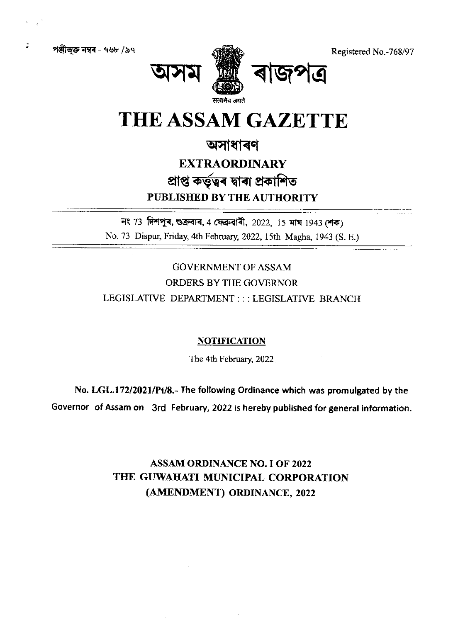Registered No.-768/97

পঞ্জীভুক্ত নম্বৰ – ৭৬৮ /৯৭



# THE ASSAM GAZETTE

## অসাধাৰণ

# **EXTRAORDINARY** প্ৰাপ্ত কৰ্তৃত্বৰ দ্বাৰা প্ৰকাশিত PUBLISHED BY THE AUTHORITY

নং 73 দিশপুৰ, শুক্ৰবাৰ, 4 ফেব্ৰুৱাৰী, 2022, 15 মাঘ 1943 শেক) No. 73 Dispur, Friday, 4th February, 2022, 15th Magha, 1943 (S. E.)

**GOVERNMENT OF ASSAM** ORDERS BY THE GOVERNOR LEGISLATIVE DEPARTMENT ::: LEGISLATIVE BRANCH

## **NOTIFICATION**

The 4th February, 2022

No. LGL.172/2021/Pt/8.- The following Ordinance which was promulgated by the Governor of Assam on 3rd February, 2022 is hereby published for general information.

> **ASSAM ORDINANCE NO. I OF 2022** THE GUWAHATI MUNICIPAL CORPORATION (AMENDMENT) ORDINANCE, 2022